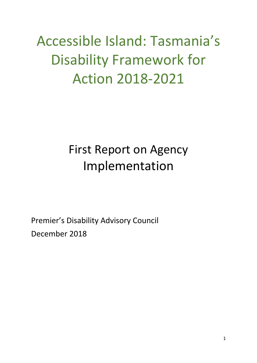# Accessible Island: Tasmania's Disability Framework for Action 2018-2021

# First Report on Agency Implementation

Premier's Disability Advisory Council December 2018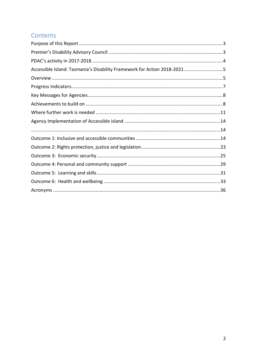#### Contents

| Accessible Island: Tasmania's Disability Framework for Action 2018-20215 |  |
|--------------------------------------------------------------------------|--|
|                                                                          |  |
|                                                                          |  |
|                                                                          |  |
|                                                                          |  |
|                                                                          |  |
|                                                                          |  |
|                                                                          |  |
|                                                                          |  |
|                                                                          |  |
|                                                                          |  |
|                                                                          |  |
|                                                                          |  |
|                                                                          |  |
|                                                                          |  |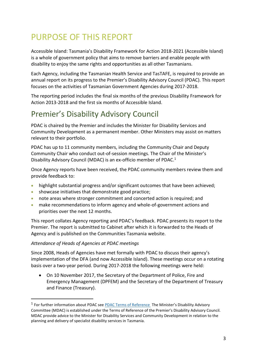# <span id="page-2-0"></span>PURPOSE OF THIS REPORT

Accessible Island: Tasmania's Disability Framework for Action 2018-2021 (Accessible Island) is a whole of government policy that aims to remove barriers and enable people with disability to enjoy the same rights and opportunities as all other Tasmanians.

Each Agency, including the Tasmanian Health Service and TasTAFE, is required to provide an annual report on its progress to the Premier's Disability Advisory Council (PDAC). This report focuses on the activities of Tasmanian Government Agencies during 2017-2018.

The reporting period includes the final six months of the previous Disability Framework for Action 2013-2018 and the first six months of Accessible Island.

# <span id="page-2-1"></span>Premier's Disability Advisory Council

PDAC is chaired by the Premier and includes the Minister for Disability Services and Community Development as a permanent member. Other Ministers may assist on matters relevant to their portfolio.

PDAC has up to 11 community members, including the Community Chair and Deputy Community Chair who conduct out-of-session meetings. The Chair of the Minister's Disability Advisory Council (MDAC) is an ex-officio member of PDAC.<sup>1</sup>

Once Agency reports have been received, the PDAC community members review them and provide feedback to:

- highlight substantial progress and/or significant outcomes that have been achieved;
- showcase initiatives that demonstrate good practice;
- note areas where stronger commitment and concerted action is required; and
- make recommendations to inform agency and whole-of-government actions and priorities over the next 12 months.

This report collates Agency reporting and PDAC's feedback. PDAC presents its report to the Premier. The report is submitted to Cabinet after which it is forwarded to the Heads of Agency and is published on the Communities Tasmania website.

#### *Attendance of Heads of Agencies at PDAC meetings*

-

Since 2008, Heads of Agencies have met formally with PDAC to discuss their agency's implementation of the DFA (and now Accessible Island). These meetings occur on a rotating basis over a two-year period. During 2017-2018 the following meetings were held:

• On 10 November 2017, the Secretary of the Department of Police, Fire and Emergency Management (DPFEM) and the Secretary of the Department of Treasury and Finance (Treasury).

<sup>&</sup>lt;sup>1</sup> For further information about PDAC see [PDAC Terms of Reference](http://www.dpac.tas.gov.au/__data/assets/pdf_file/0004/304564/PDAC_Terms_of_Reference_revised_November_2018.pdf) The Minister's Disability Advisory Committee (MDAC) is established under the Terms of Reference of the Premier's Disability Advisory Council. MDAC provide advice to the Minister for Disability Services and Community Development in relation to the planning and delivery of specialist disability services in Tasmania.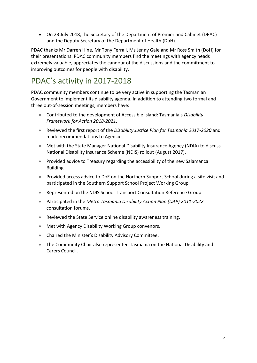• On 23 July 2018, the Secretary of the Department of Premier and Cabinet (DPAC) and the Deputy Secretary of the Department of Health (DoH).

PDAC thanks Mr Darren Hine, Mr Tony Ferrall, Ms Jenny Gale and Mr Ross Smith (DoH) for their presentations. PDAC community members find the meetings with agency heads extremely valuable, appreciates the candour of the discussions and the commitment to improving outcomes for people with disability.

## <span id="page-3-0"></span>PDAC's activity in 2017-2018

PDAC community members continue to be very active in supporting the Tasmanian Government to implement its disability agenda. In addition to attending two formal and three out-of-session meetings, members have:

- Contributed to the development of Accessible Island: Tasmania's *Disability Framework for Action 2018-2021*.
- Reviewed the first report of the *Disability Justice Plan for Tasmania 2017-2020* and made recommendations to Agencies.
- Met with the State Manager National Disability Insurance Agency (NDIA) to discuss National Disability Insurance Scheme (NDIS) rollout (August 2017).
- Provided advice to Treasury regarding the accessibility of the new Salamanca Building.
- Provided access advice to DoE on the Northern Support School during a site visit and participated in the Southern Support School Project Working Group
- Represented on the NDIS School Transport Consultation Reference Group.
- Participated in the *Metro Tasmania Disability Action Plan (DAP) 2011-2022* consultation forums.
- Reviewed the State Service online disability awareness training.
- Met with Agency Disability Working Group convenors.
- Chaired the Minister's Disability Advisory Committee.
- The Community Chair also represented Tasmania on the National Disability and Carers Council.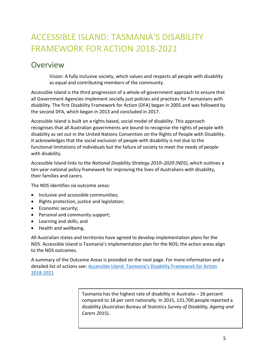# <span id="page-4-0"></span>ACCESSIBLE ISLAND: TASMANIA'S DISABILITY FRAMEWORK FOR ACTION 2018-2021

### <span id="page-4-1"></span>**Overview**

Vision: A fully inclusive society, which values and respects all people with disability as equal and contributing members of the community.

Accessible Island is the third progression of a whole-of-government approach to ensure that all Government Agencies implement socially just policies and practices for Tasmanians with disability. The first Disability Framework for Action (DFA) began in 2005 and was followed by the second DFA, which began in 2013 and concluded in 2017.

Accessible Island is built on a rights based, social model of disability. This approach recognises that all Australian governments are bound to recognise the rights of people with disability as set out in the United Nations Convention on the Rights of People with Disability. It acknowledges that the social exclusion of people with disability is not due to the functional limitations of individuals but the failure of society to meet the needs of people with disability.

Accessible Island links to the *National Disability Strategy 2010–2020 (NDS)*, which outlines a ten-year national policy framework for improving the lives of Australians with disability, their families and carers.

The NDS identifies six outcome areas:

- Inclusive and accessible communities;
- Rights protection, justice and legislation;
- Economic security;
- Personal and community support;
- Learning and skills; and
- Health and wellbeing.

All Australian states and territories have agreed to develop implementation plans for the NDS. Accessible Island is Tasmania's implementation plan for the NDS; the action areas align to the NDS outcomes.

A summary of the Outcome Areas is provided on the next page. For more information and a detailed list of actions see: [Accessible Island: Tasmania's Disability Framework for Action](http://www.dpac.tas.gov.au/divisions/csr/policy/Policy_Work/accessible_island_tasmanias_disability_framework_for_action_2018-2021_dfa)  [2018-2021](http://www.dpac.tas.gov.au/divisions/csr/policy/Policy_Work/accessible_island_tasmanias_disability_framework_for_action_2018-2021_dfa)

> Tasmania has the highest rate of disability in Australia – 26 percent compared to 18 per cent nationally. In 2015, 131,700 people reported a disability (Australian Bureau of Statistics *Survey of Disability, Ageing and Carers 2*015).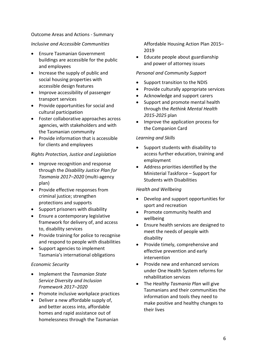#### Outcome Areas and Actions - Summary

#### *Inclusive and Accessible Communities*

- Ensure Tasmanian Government buildings are accessible for the public and employees
- Increase the supply of public and social housing properties with accessible design features
- Improve accessibility of passenger transport services
- Provide opportunities for social and cultural participation
- Foster collaborative approaches across agencies, with stakeholders and with the Tasmanian community
- Provide information that is accessible for clients and employees

#### *Rights Protection, Justice and Legislation*

- Improve recognition and response through the *Disability Justice Plan for Tasmania 2017–2020* (multi-agency plan)
- Provide effective responses from criminal justice; strengthen protections and supports
- Support prisoners with disability
- Ensure a contemporary legislative framework for delivery of, and access to, disability services
- Provide training for police to recognise and respond to people with disabilities
- Support agencies to implement Tasmania's international obligations

#### *Economic Security*

- Implement the *Tasmanian State Service Diversity and Inclusion Framework 2017–2020*
- Promote inclusive workplace practices
- Deliver a new affordable supply of, and better access into, affordable homes and rapid assistance out of homelessness through the Tasmanian

Affordable Housing Action Plan 2015– 2019

• Educate people about guardianship and power of attorney issues

#### *Personal and Community Support*

- Support transition to the NDIS
- Provide culturally appropriate services
- Acknowledge and support carers
- Support and promote mental health through the *Rethink Mental Health 2015-2025* plan
- Improve the application process for the Companion Card

#### *Learning and Skills*

- Support students with disability to access further education, training and employment
- Address priorities identified by the Ministerial Taskforce – Support for Students with Disabilities

#### *Health and Wellbeing*

- Develop and support opportunities for sport and recreation
- Promote community health and wellbeing
- Ensure health services are designed to meet the needs of people with disability
- Provide timely, comprehensive and effective prevention and early intervention
- Provide new and enhanced services under One Health System reforms for rehabilitation services
- The *Healthy Tasmania Plan* will give Tasmanians and their communities the information and tools they need to make positive and healthy changes to their lives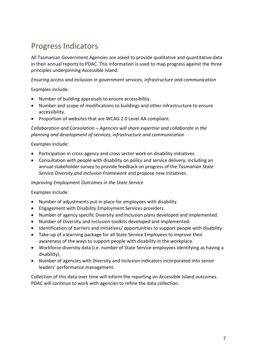# <span id="page-6-0"></span>Progress Indicators

All Tasmanian Government Agencies are asked to provide qualitative and quantitative data in their annual reports to PDAC. This information is used to map progress against the three principles underpinning Accessible Island.

*Ensuring access and inclusion in government services, infrastructure and communication*

Examples include:

- Number of building appraisals to ensure accessibility.
- Number and scope of modifications to buildings and other infrastructure to ensure accessibility.
- Proportion of websites that are WCAG 2.0 Level AA compliant.

*Collaboration and Consolation – Agencies will share expertise and collaborate in the planning and development of services, infrastructure and communication*

Examples include:

- Participation in cross-agency and cross sector work on disability initiatives.
- Consultation with people with disability on policy and service delivery, including an annual stakeholder survey to provide feedback on progress of the *Tasmanian State Service Diversity and Inclusion Framework* and propose new initiatives.

#### *Improving Employment Outcomes in the State Service*

Examples include:

- Number of adjustments put in place for employees with disability.
- Engagement with Disability Employment Services providers.
- Number of agency specific Diversity and Inclusion plans developed and implemented.
- Number of Diversity and Inclusion toolkits developed and implemented.
- Identification of barriers and initiatives/ opportunities to support people with disability.
- Take-up of a learning package for all State Service Employees to improve their awareness of the ways to support people with disability in the workplace.
- Workforce diversity data (i.e. number of State Service employees identifying as having a disability).
- Number of agencies with Diversity and Inclusion indicators incorporated into senior leaders' performance management.

Collection of this data over time will inform the reporting on Accessible Island outcomes. PDAC will continue to work with agencies to refine the data collection.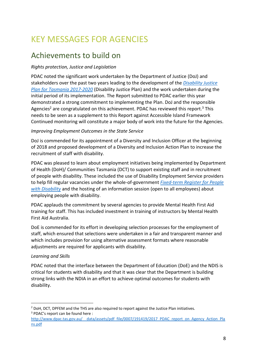# <span id="page-7-0"></span>KEY MESSAGES FOR AGENCIES

### <span id="page-7-1"></span>Achievements to build on

#### *Rights protection, Justice and Legislation*

PDAC noted the significant work undertaken by the Department of Justice (DoJ) and stakeholders over the past two years leading to the development of the *[Disability Justice](https://www.justice.tas.gov.au/news_and_events/disability-justice-plan)  [Plan for Tasmania 2017-2020](https://www.justice.tas.gov.au/news_and_events/disability-justice-plan)* (Disability Justice Plan) and the work undertaken during the initial period of its implementation. The Report submitted to PDAC earlier this year demonstrated a strong commitment to implementing the Plan. DoJ and the responsible Agencies<sup>2</sup> are congratulated on this achievement. PDAC has reviewed this report.<sup>3</sup> This needs to be seen as a supplement to this Report against Accessible Island Framework Continued monitoring will constitute a major body of work into the future for the Agencies.

#### *Improving Employment Outcomes in the State Service*

DoJ is commended for its appointment of a Diversity and Inclusion Officer at the beginning of 2018 and proposed development of a Diversity and Inclusion Action Plan to increase the recruitment of staff with disability.

PDAC was pleased to learn about employment initiatives being implemented by Department of Health (DoH)/ Communities Tasmania (DCT) to support existing staff and in recruitment of people with disability. These included the use of Disability Employment Service providers to help fill regular vacancies under the whole-of-government *[Fixed-term Register for People](https://www.jobs.tas.gov.au/employment_registers/people_with_disabilities_employment_register)  [with Disability](https://www.jobs.tas.gov.au/employment_registers/people_with_disabilities_employment_register)* and the hosting of an information session (open to all employees) about employing people with disability.

PDAC applauds the commitment by several agencies to provide Mental Health First Aid training for staff. This has included investment in training of instructors by Mental Health First Aid Australia.

DoE is commended for its effort in developing selection processes for the employment of staff, which ensured that selections were undertaken in a fair and transparent manner and which includes provision for using alternative assessment formats where reasonable adjustments are required for applicants with disability.

#### *Learning and Skills*

PDAC noted that the interface between the Department of Education (DoE) and the NDIS is critical for students with disability and that it was clear that the Department is building strong links with the NDIA in an effort to achieve optimal outcomes for students with disability.

<sup>-</sup><sup>2</sup> DoH, DCT, DPFEM and the THS are also required to report against the Justice Plan initiatives. <sup>3</sup> PDAC's report can be found here :

http://www.dpac.tas.gov.au/ data/assets/pdf file/0007/191419/2017 PDAC report on Agency Action Pla [ns.pdf](http://www.dpac.tas.gov.au/__data/assets/pdf_file/0007/191419/2017_PDAC_report_on_Agency_Action_Plans.pdf)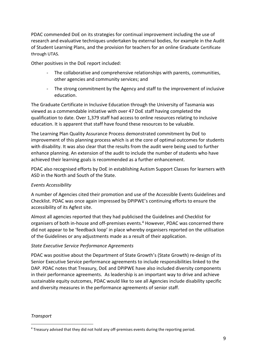PDAC commended DoE on its strategies for continual improvement including the use of research and evaluative techniques undertaken by external bodies, for example in the Audit of Student Learning Plans, and the provision for teachers for an online Graduate Certificate through UTAS.

Other positives in the DoE report included:

- The collaborative and comprehensive relationships with parents, communities, other agencies and community services; and
- The strong commitment by the Agency and staff to the improvement of inclusive education.

The Graduate Certificate in Inclusive Education through the University of Tasmania was viewed as a commendable initiative with over 47 DoE staff having completed the qualification to date. Over 1,379 staff had access to online resources relating to inclusive education. It is apparent that staff have found these resources to be valuable.

The Learning Plan Quality Assurance Process demonstrated commitment by DoE to improvement of this planning process which is at the core of optimal outcomes for students with disability. It was also clear that the results from the audit were being used to further enhance planning. An extension of the audit to include the number of students who have achieved their learning goals is recommended as a further enhancement.

PDAC also recognised efforts by DoE in establishing Autism Support Classes for learners with ASD in the North and South of the State.

#### *Events Accessibility*

A number of Agencies cited their promotion and use of the Accessible Events Guidelines and Checklist. PDAC was once again impressed by DPIPWE's continuing efforts to ensure the accessibility of its Agfest site.

Almost all agencies reported that they had publicised the Guidelines and Checklist for organisers of both in-house and off-premises events.<sup>4</sup> However, PDAC was concerned there did not appear to be 'feedback loop' in place whereby organisers reported on the utilisation of the Guidelines or any adjustments made as a result of their application.

#### *State Executive Service Performance Agreements*

PDAC was positive about the Department of State Growth's (State Growth) re-design of its Senior Executive Service performance agreements to include responsibilities linked to the DAP. PDAC notes that Treasury, DoE and DPIPWE have also included diversity components in their performance agreements. As leadership is an important way to drive and achieve sustainable equity outcomes, PDAC would like to see all Agencies include disability specific and diversity measures in the performance agreements of senior staff.

#### *Transport*

1

<sup>4</sup> Treasury advised that they did not hold any off-premises events during the reporting period.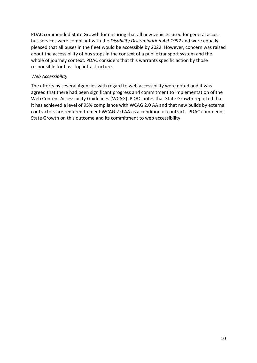PDAC commended State Growth for ensuring that all new vehicles used for general access bus services were compliant with the *Disability Discrimination Act 1992* and were equally pleased that all buses in the fleet would be accessible by 2022. However, concern was raised about the accessibility of bus stops in the context of a public transport system and the whole of journey context. PDAC considers that this warrants specific action by those responsible for bus stop infrastructure.

#### *Web Accessibility*

The efforts by several Agencies with regard to web accessibility were noted and it was agreed that there had been significant progress and commitment to implementation of the Web Content Accessibility Guidelines (WCAG). PDAC notes that State Growth reported that it has achieved a level of 95% compliance with WCAG 2.0 AA and that new builds by external contractors are required to meet WCAG 2.0 AA as a condition of contract. PDAC commends State Growth on this outcome and its commitment to web accessibility.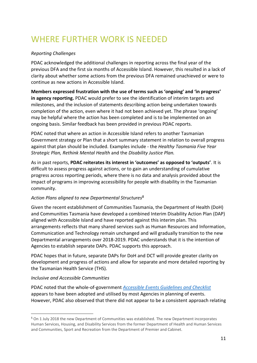# <span id="page-10-0"></span>WHERE FURTHER WORK IS NEEDED

#### *Reporting Challenges*

PDAC acknowledged the additional challenges in reporting across the final year of the previous DFA and the first six months of Accessible Island. However, this resulted in a lack of clarity about whether some actions from the previous DFA remained unachieved or were to continue as new actions in Accessible Island.

**Members expressed frustration with the use of terms such as 'ongoing' and 'in progress' in agency reporting.** PDAC would prefer to see the identification of interim targets and milestones, and the inclusion of statements describing action being undertaken towards completion of the action, even where it had not been achieved yet. The phrase 'ongoing' may be helpful where the action has been completed and is to be implemented on an ongoing basis. Similar feedback has been provided in previous PDAC reports.

PDAC noted that where an action in Accessible Island refers to another Tasmanian Government strategy or Plan that a short summary statement in relation to overall progress against that plan should be included. Examples include - the *[Healthy Tasmania Five Year](https://www.dhhs.tas.gov.au/__data/assets/pdf_file/0008/224567/Healthy_Tasmania_Strategic_Plan_Web_v8_LR.pdf)  [Strategic Plan,](https://www.dhhs.tas.gov.au/__data/assets/pdf_file/0008/224567/Healthy_Tasmania_Strategic_Plan_Web_v8_LR.pdf) Rethink Mental Health* and the *Disability Justice Plan.* 

As in past reports, **PDAC reiterates its interest in 'outcomes' as opposed to 'outputs'**. It is difficult to assess progress against actions, or to gain an understanding of cumulative progress across reporting periods, where there is no data and analysis provided about the impact of programs in improving accessibility for people with disability in the Tasmanian community.

#### *Action Plans aligned to new Departmental Structures 5*

Given the recent establishment of Communities Tasmania, the Department of Health (DoH) and Communities Tasmania have developed a combined Interim Disability Action Plan (DAP) aligned with Accessible Island and have reported against this interim plan. This arrangements reflects that many shared services such as Human Resources and Information, Communication and Technology remain unchanged and will gradually transition to the new Departmental arrangements over 2018-2019. PDAC understands that it is the intention of Agencies to establish separate DAPs. PDAC supports this approach.

PDAC hopes that in future, separate DAPs for DoH and DCT will provide greater clarity on development and progress of actions and allow for separate and more detailed reporting by the Tasmanian Health Service (THS).

#### *Inclusive and Accessible Communities*

1

PDAC noted that the whole-of-government *[Accessible Events Guidelines and Checklist](http://www.dpac.tas.gov.au/divisions/csr/for_and_about/people_with_disability/_accessible_events_guidelines_and_checklists)* appears to have been adopted and utilised by most Agencies in planning of events. However, PDAC also observed that there did not appear to be a consistent approach relating

<sup>5</sup> On 1 July 2018 the new Department of Communities was established. The new Department incorporates Human Services, Housing, and Disability Services from the former Department of Health and Human Services and Communities, Sport and Recreation from the Department of Premier and Cabinet.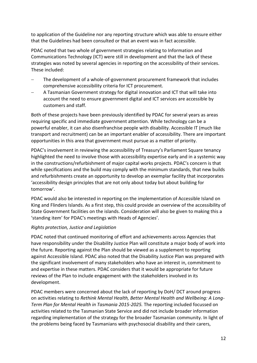to application of the Guideline nor any reporting structure which was able to ensure either that the Guidelines had been consulted or that an event was in fact accessible.

PDAC noted that two whole of government strategies relating to Information and Communications Technology (ICT) were still in development and that the lack of these strategies was noted by several agencies in reporting on the accessibility of their services. These included:

- The development of a whole-of-government procurement framework that includes comprehensive accessibility criteria for ICT procurement.
- − A Tasmanian Government strategy for digital innovation and ICT that will take into account the need to ensure government digital and ICT services are accessible by customers and staff.

Both of these projects have been previously identified by PDAC for several years as areas requiring specific and immediate government attention. While technology can be a powerful enabler, it can also disenfranchise people with disability. Accessible IT (much like transport and recruitment) can be an important enabler of accessibility. There are important opportunities in this area that government must pursue as a matter of priority.

PDAC's involvement in reviewing the accessibility of Treasury's Parliament Square tenancy highlighted the need to involve those with accessibility expertise early and in a systemic way in the constructions/refurbishment of major capital works projects. PDAC's concern is that while specifications and the build may comply with the minimum standards, that new builds and refurbishments create an opportunity to develop an exemplar facility that incorporates 'accessibility design principles that are not only about today but about building for tomorrow'.

PDAC would also be interested in reporting on the implementation of Accessible Island on King and Flinders Islands. As a first step, this could provide an overview of the accessibility of State Government facilities on the islands. Consideration will also be given to making this a 'standing item' for PDAC's meetings with Heads of Agencies'.

#### *Rights protection, Justice and Legislation*

PDAC noted that continued monitoring of effort and achievements across Agencies that have responsibility under the Disability Justice Plan will constitute a major body of work into the future. Reporting against the Plan should be viewed as a supplement to reporting against Accessible Island. PDAC also noted that the Disability Justice Plan was prepared with the significant involvement of many stakeholders who have an interest in, commitment to and expertise in these matters. PDAC considers that it would be appropriate for future reviews of the Plan to include engagement with the stakeholders involved in its development.

PDAC members were concerned about the lack of reporting by DoH/ DCT around progress on activities relating to *Rethink Mental Health, Better Mental Health and Wellbeing: A Long-Term Plan for Mental Health in Tasmania 2015-2025.* The reporting included focussed on activities related to the Tasmanian State Service and did not include broader information regarding implementation of the strategy for the broader Tasmanian community. In light of the problems being faced by Tasmanians with psychosocial disability and their carers,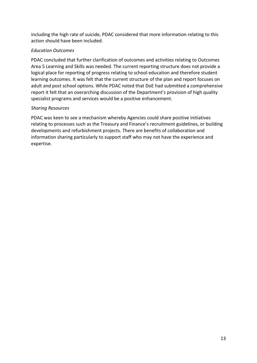including the high rate of suicide, PDAC considered that more information relating to this action should have been included.

#### *Education Outcomes*

PDAC concluded that further clarification of outcomes and activities relating to Outcomes Area 5 Learning and Skills was needed. The current reporting structure does not provide a logical place for reporting of progress relating to school education and therefore student learning outcomes. It was felt that the current structure of the plan and report focuses on adult and post school options. While PDAC noted that DoE had submitted a comprehensive report it felt that an overarching discussion of the Department's provision of high quality specialist programs and services would be a positive enhancement.

#### *Sharing Resources*

PDAC was keen to see a mechanism whereby Agencies could share positive initiatives relating to processes such as the Treasury and Finance's recruitment guidelines, or building developments and refurbishment projects. There are benefits of collaboration and information sharing particularly to support staff who may not have the experience and expertise.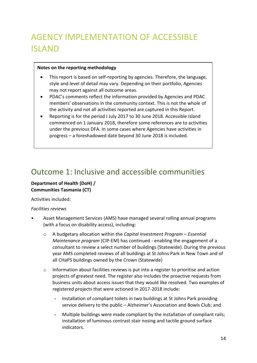# <span id="page-13-1"></span><span id="page-13-0"></span>AGENCY IMPLEMENTATION OF ACCESSIBLE ISLAND

#### **Notes on the reporting methodology**

- This report is based on self-reporting by agencies. Therefore, the language, style and level of detail may vary. Depending on their portfolio, Agencies may not report against all outcome areas.
- PDAC's comments reflect the information provided by Agencies and PDAC members' observations in the community context. This is not the whole of the activity and not all activities reported are captured in this Report.
- Reporting is for the period I July 2017 to 30 June 2018. Accessible Island commenced on 1 January 2018, therefore some references are to activities under the previous DFA. In some cases where Agencies have activities in progress – a foreshadowed date beyond 30 June 2018 is included.

### <span id="page-13-2"></span>Outcome 1: Inclusive and accessible communities

#### **Department of Health (DoH) / Communities Tasmania (CT)**

Activities included:

#### *Facilities reviews*

- Asset Management Services (AMS) have managed several rolling annual programs (with a focus on disability access), including:
	- o A budgetary allocation within the *Capital Investment Program – Essential Maintenance program* (CIP-EM) has continued - enabling the engagement of a consultant to review a select number of buildings (Statewide). During the previous year AMS completed reviews of all buildings at St Johns Park in New Town and of all CHaPS buildings owned by the Crown (Statewide)
	- $\circ$  Information about facilities reviews is put into a register to prioritise and action projects of greatest need. The register also includes the proactive requests from business units about access issues that they would like resolved. Two examples of registered projects that were actioned in 2017-2018 include:
		- Installation of compliant toilets in two buildings at St Johns Park providing service delivery to the public – Alzheimer's Association and Bowls Club; and
		- Multiple buildings were made compliant by the installation of compliant rails; installation of luminous contrast stair nosing and tactile ground surface indicators.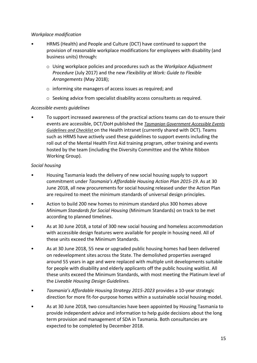#### *Workplace modification*

- HRMS (Health) and People and Culture (DCT) have continued to support the provision of reasonable workplace modifications for employees with disability (and business units) through:
	- o Using workplace policies and procedures such as the *Workplace Adjustment Procedure* (July 2017) and the new *Flexibility at Work: Guide to Flexible Arrangements* (May 2018);
	- o informing site managers of access issues as required; and
	- o Seeking advice from specialist disability access consultants as required.

#### *Accessible events guidelines*

• To support increased awareness of the practical actions teams can do to ensure their events are accessible, DCT/DoH published the *Tasmanian Government Accessible Events Guidelines and Checklist* on the Health intranet (currently shared with DCT). Teams such as HRMS have actively used these guidelines to support events including the roll out of the Mental Health First Aid training program, other training and events hosted by the team (including the Diversity Committee and the White Ribbon Working Group).

#### *Social housing*

- Housing Tasmania leads the delivery of new social housing supply to support commitment under *Tasmania's Affordable Housing Action Plan 2015-19*. As at 30 June 2018, all new procurements for social housing released under the Action Plan are required to meet the minimum standards of universal design principles.
- Action to build 200 new homes to minimum standard plus 300 homes above *Minimum Standards for Social Housing* (Minimum Standards) on track to be met according to planned timelines.
- As at 30 June 2018, a total of 300 new social housing and homeless accommodation with accessible design features were available for people in housing need. All of these units exceed the Minimum Standards.
- As at 30 June 2018, 55 new or upgraded public housing homes had been delivered on redevelopment sites across the State. The demolished properties averaged around 55 years in age and were replaced with multiple unit developments suitable for people with disability and elderly applicants off the public housing waitlist. All these units exceed the Minimum Standards, with most meeting the Platinum level of the *Liveable Housing Design Guidelines.*
- *Tasmania's Affordable Housing Strategy 2015-2023* provides a 10-year strategic direction for more fit-for-purpose homes within a sustainable social housing model.
- As at 30 June 2018, two consultancies have been appointed by Housing Tasmania to provide independent advice and information to help guide decisions about the long term provision and management of SDA in Tasmania. Both consultancies are expected to be completed by December 2018.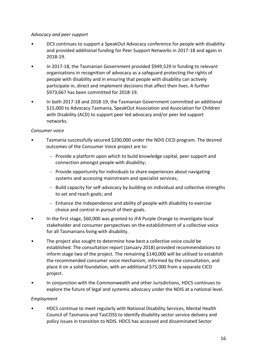#### *Advocacy and peer support*

- DCS continues to support a SpeakOut Advocacy conference for people with disability and provided additional funding for Peer Support Networks in 2017-18 and again in 2018-19.
- In 2017-18, the Tasmanian Government provided \$949,529 in funding to relevant organisations in recognition of advocacy as a safeguard protecting the rights of people with disability and in ensuring that people with disability can actively participate in, direct and implement decisions that affect their lives. A further \$973,667 has been committed for 2018-19.
- In both 2017-18 and 2018-19, the Tasmanian Government committed an additional \$15,000 to Advocacy Tasmania, SpeakOut Association and Association for Children with Disability (ACD) to support peer led advocacy and/or peer led support networks.

#### *Consumer voice*

- Tasmania successfully secured \$200,000 under the NDIS CICD program. The desired outcomes of the Consumer Voice project are to:
	- − Provide a platform upon which to build knowledge capital, peer support and connection amongst people with disability;
	- − Provide opportunity for individuals to share experiences about navigating systems and accessing mainstream and specialist services;
	- − Build capacity for self-advocacy by building on individual and collective strengths to set and reach goals; and
	- − Enhance the independence and ability of people with disability to exercise choice and control in pursuit of their goals.
- In the first stage, \$60,000 was granted to JFA Purple Orange to investigate local stakeholder and consumer perspectives on the establishment of a collective voice for all Tasmanians living with disability.
- The project also sought to determine how best a collective voice could be established. The consultation report (January 2018) provided recommendations to inform stage two of the project. The remaining \$140,000 will be utilised to establish the recommended consumer voice mechanism, informed by the consultation, and place it on a solid foundation, with an additional \$75,000 from a separate CICD project.
- In conjunction with the Commonwealth and other Jurisdictions, HDCS continues to explore the future of legal and systemic advocacy under the NDIS at a national level.

#### *Employment*

• HDCS continue to meet regularly with National Disability Services, Mental Health Council of Tasmania and TasCOSS to identify disability sector service delivery and policy issues in transition to NDIS. HDCS has accessed and disseminated Sector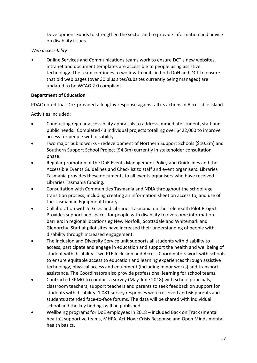Development Funds to strengthen the sector and to provide information and advice on disability issues.

#### *Web accessibility*

• Online Services and Communications teams work to ensure DCT's new websites, intranet and document templates are accessible to people using assistive technology. The team continues to work with units in both DoH and DCT to ensure that old web pages (over 30 plus sites/subsites currently being managed) are updated to be WCAG 2.0 compliant.

#### **Department of Education**

PDAC noted that DoE provided a lengthy response against all its actions in Accessible Island.

- Conducting regular accessibility appraisals to address immediate student, staff and public needs. Completed 43 individual projects totalling over \$422,000 to improve access for people with disability.
- Two major public works redevelopment of Northern Support Schools (\$10.2m) and Southern Support School Project (\$4.3m) currently in stakeholder consultation phase.
- Regular promotion of the DoE Events Management Policy and Guidelines and the Accessible Events Guidelines and Checklist to staff and event organisers. Libraries Tasmania provides these documents to all events organisers who have received Libraries Tasmania funding.
- Consultation with Communities Tasmania and NDIA throughout the school-age transition process, including creating an information sheet on access to, and use of the Tasmanian Equipment Library.
- Collaboration with St Giles and Libraries Tasmania on the Telehealth Pilot Project Provides support and spaces for people with disability to overcome information barriers in regional locations eg New Norfolk, Scottsdale and Whitemark and Glenorchy. Staff at pilot sites have increased their understanding of people with disability through increased engagement.
- The Inclusion and Diversity Service unit supports all students with disability to access, participate and engage in education and support the health and wellbeing of student with disability. Two FTE Inclusion and Access Coordinators work with schools to ensure equitable access to education and learning experiences through assistive technology, physical access and equipment (including minor works) and transport assistance. The Coordinators also provide professional learning for school teams.
- Contracted KPMG to conduct a survey (May-June 2018) with school principals, classroom teachers, support teachers and parents to seek feedback on support for students with disability. 1,081 survey responses were received and 66 parents and students attended face-to-face forums. The data will be shared with individual school and the key findings will be published.
- Wellbeing programs for DoE employees in 2018 included Back on Track (mental health), supportive teams, MHFA, Act Now: Crisis Response and Open Minds mental health basics.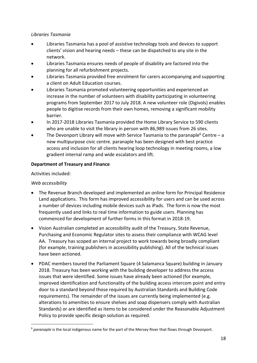#### *Libraries Tasmania*

- Libraries Tasmania has a pool of assistive technology tools and devices to support clients' vision and hearing needs – these can be dispatched to any site in the network.
- Libraries Tasmania ensures needs of people of disability are factored into the planning for all refurbishment projects.
- Libraries Tasmania provided free enrolment for carers accompanying and supporting a client on Adult Education courses.
- Libraries Tasmania promoted volunteering opportunities and experienced an increase in the number of volunteers with disability participating in volunteering programs from September 2017 to July 2018. A new volunteer role (Digivols) enables people to digitise records from their own homes, removing a significant mobility barrier.
- In 2017-2018 Libraries Tasmania provided the Home Library Service to 590 clients who are unable to visit the library in person with 86,989 issues from 26 sites.
- The Devonport Library will move with Service Tasmania to the paranaple<sup>6</sup> Centre a new multipurpose civic centre. paranaple has been designed with best practice access and inclusion for all clients hearing loop technology in meeting rooms, a low gradient internal ramp and wide escalators and lift.

#### **Department of Treasury and Finance**

Activities included:

#### *Web accessibility*

1

- The Revenue Branch developed and implemented an online form for Principal Residence Land applications. This form has improved accessibility for users and can be used across a number of devices including mobile devices such as iPads. The form is now the most frequently used and links to real time information to guide users. Planning has commenced for development of further forms in this format in 2018-19.
- Vision Australian completed an accessibility audit of the Treasury, State Revenue, Purchasing and Economic Regulator sites to assess their compliance with WCAG level AA. Treasury has scoped an internal project to work towards being broadly compliant (for example, training publishers in accessibility publishing). All of the technical issues have been actioned.
- PDAC members toured the Parliament Square (4 Salamanca Square) building in January 2018. Treasury has been working with the building developer to address the access issues that were identified. Some issues have already been actioned (for example, improved identification and functionality of the building access intercom point and entry door to a standard beyond those required by Australian Standards and Building Code requirements). The remainder of the issues are currently being implemented (e.g. alterations to amenities to ensure shelves and soap dispensers comply with Australian Standards) or are identified as items to be considered under the Reasonable Adjustment Policy to provide specific design solution as required.

<sup>6</sup> *paranaple* is the local indigenous name for the part of the Mersey River that flows through Devonport.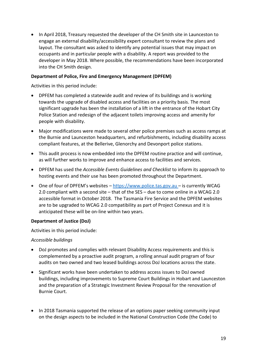• In April 2018, Treasury requested the developer of the CH Smith site in Launceston to engage an external disability/accessibility expert consultant to review the plans and layout. The consultant was asked to identify any potential issues that may impact on occupants and in particular people with a disability. A report was provided to the developer in May 2018. Where possible, the recommendations have been incorporated into the CH Smith design.

#### **Department of Police, Fire and Emergency Management (DPFEM)**

Activities in this period include:

- DPFEM has completed a statewide audit and review of its buildings and is working towards the upgrade of disabled access and facilities on a priority basis. The most significant upgrade has been the installation of a lift in the entrance of the Hobart City Police Station and redesign of the adjacent toilets improving access and amenity for people with disability.
- Major modifications were made to several other police premises such as access ramps at the Burnie and Launceston headquarters, and refurbishments, including disability access compliant features, at the Bellerive, Glenorchy and Devonport police stations.
- This audit process is now embedded into the DPFEM routine practice and will continue, as will further works to improve and enhance access to facilities and services.
- DPFEM has used the *Accessible Events Guidelines and Checklist* to inform its approach to hosting events and their use has been promoted throughout the Department.
- One of four of DPFEM's websites [https://www.police.tas.gov.au](https://www.police.tas.gov.au/) is currently WCAG 2.0 compliant with a second site – that of the SES – due to come online in a WCAG 2.0 accessible format in October 2018. The Tasmania Fire Service and the DPFEM websites are to be upgraded to WCAG 2.0 compatibility as part of Project Conexus and it is anticipated these will be on-line within two years.

#### **Department of Justice (DoJ)**

Activities in this period include:

#### *Accessible buildings*

- DoJ promotes and complies with relevant Disability Access requirements and this is complemented by a proactive audit program, a rolling annual audit program of four audits on two owned and two leased buildings across DoJ locations across the state.
- Significant works have been undertaken to address access issues to DoJ owned buildings, including improvements to Supreme Court Buildings in Hobart and Launceston and the preparation of a Strategic Investment Review Proposal for the renovation of Burnie Court.
- In 2018 Tasmania supported the release of an options paper seeking community input on the design aspects to be included in the National Construction Code (the Code) to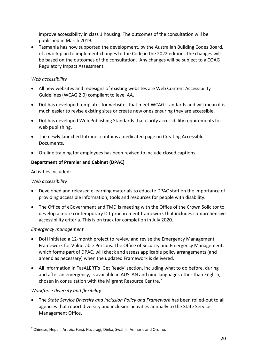improve accessibility in class 1 housing. The outcomes of the consultation will be published in March 2019.

• Tasmania has now supported the development, by the Australian Building Codes Board, of a work plan to implement changes to the Code in the 2022 edition. The changes will be based on the outcomes of the consultation. Any changes will be subject to a COAG Regulatory Impact Assessment.

#### *Web accessibility*

- All new websites and redesigns of existing websites are Web Content Accessibility Guidelines (WCAG 2.0) compliant to level AA.
- DoJ has developed templates for websites that meet WCAG standards and will mean it is much easier to revise existing sites or create new ones ensuring they are accessible.
- DoJ has developed Web Publishing Standards that clarify accessibility requirements for web publishing.
- The newly launched Intranet contains a dedicated page on Creating Accessible Documents.
- On-line training for employees has been revised to include closed captions.

#### **Department of Premier and Cabinet (DPAC)**

Activities included:

#### *Web accessibility*

- Developed and released eLearning materials to educate DPAC staff on the importance of providing accessible information, tools and resources for people with disability.
- The Office of eGovernment and TMD is meeting with the Office of the Crown Solicitor to develop a more contemporary ICT procurement framework that includes comprehensive accessibility criteria. This is on track for completion in July 2020.

#### *Emergency management*

- DoH initiated a 12-month project to review and revise the Emergency Management Framework for Vulnerable Persons. The Office of Security and Emergency Management, which forms part of DPAC, will check and assess applicable policy arrangements (and amend as necessary) when the updated Framework is delivered.
- All information in TasALERT's 'Get Ready' section, including what to do before, during and after an emergency, is available in AUSLAN and nine languages other than English, chosen in consultation with the Migrant Resource Centre. 7

#### *Workforce diversity and flexibility*

1

• The *State Service Diversity and Inclusion Policy and Framework* has been rolled-out to all agencies that report diversity and inclusion activities annually to the State Service Management Office.

<sup>7</sup> Chinese, Nepali, Arabic, Farsi, Hazaragi, Dinka, Swahili, Amharic and Oromo.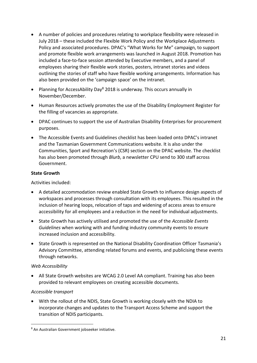- A number of policies and procedures relating to workplace flexibility were released in July 2018 – these included the Flexible Work Policy and the Workplace Adjustments Policy and associated procedures. DPAC's "What Works for Me" campaign, to support and promote flexible work arrangements was launched in August 2018. Promotion has included a face-to-face session attended by Executive members, and a panel of employees sharing their flexible work stories, posters, intranet stories and videos outlining the stories of staff who have flexible working arrangements. Information has also been provided on the 'campaign space' on the intranet.
- Planning for AccessAbility Day<sup>8</sup> 2018 is underway. This occurs annually in November/December.
- Human Resources actively promotes the use of the Disability Employment Register for the filling of vacancies as appropriate.
- DPAC continues to support the use of Australian Disability Enterprises for procurement purposes.
- The Accessible Events and Guidelines checklist has been loaded onto DPAC's intranet and the Tasmanian Government Communications website. It is also under the Communities, Sport and Recreation's (CSR) section on the DPAC website. The checklist has also been promoted through *Blurb*, a newsletter CPU send to 300 staff across Government.

#### **State Growth**

Activities included:

- A detailed accommodation review enabled State Growth to influence design aspects of workspaces and processes through consultation with its employees. This resulted in the inclusion of hearing loops, relocation of taps and widening of access areas to ensure accessibility for all employees and a reduction in the need for individual adjustments.
- State Growth has actively utilised and promoted the use of the *Accessible Events Guidelines* when working with and funding industry community events to ensure increased inclusion and accessibility.
- State Growth is represented on the National Disability Coordination Officer Tasmania's Advisory Committee, attending related forums and events, and publicising these events through networks.

#### *Web Accessibility*

• All State Growth websites are WCAG 2.0 Level AA compliant. Training has also been provided to relevant employees on creating accessible documents.

#### *Accessible transport*

1

• With the rollout of the NDIS, State Growth is working closely with the NDIA to incorporate changes and updates to the Transport Access Scheme and support the transition of NDIS participants.

<sup>8</sup> An Australian Government jobseeker initiative.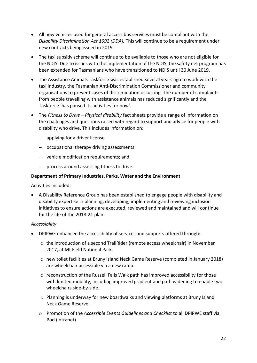- All new vehicles used for general access bus services must be compliant with the *Disability Discrimination Act 1992 (DDA).* This will continue to be a requirement under new contracts being issued in 2019.
- The taxi subsidy scheme will continue to be available to those who are not eligible for the NDIS. Due to issues with the implementation of the NDIS, the safety net program has been extended for Tasmanians who have transitioned to NDIS until 30 June 2019.
- The Assistance Animals Taskforce was established several years ago to work with the taxi industry, the Tasmanian Anti-Discrimination Commissioner and community organisations to prevent cases of discrimination occurring. The number of complaints from people travelling with assistance animals has reduced significantly and the Taskforce 'has paused its activities for now'.
- The *Fitness to Drive – Physical disability* fact sheets provide a range of information on the challenges and questions raised with regard to support and advice for people with disability who drive. This includes information on:
	- − applying for a driver license
	- − occupational therapy driving assessments
	- − vehicle modification requirements; and
	- − process around assessing fitness to drive.

#### **Department of Primary Industries, Parks, Water and the Environment**

Activities included:

• A Disability Reference Group has been established to engage people with disability and disability expertise in planning, developing, implementing and reviewing inclusion initiatives to ensure actions are executed, reviewed and maintained and will continue for the life of the 2018-21 plan.

#### *Accessibility*

- DPIPWE enhanced the accessibility of services and supports offered through:
	- $\circ$  the introduction of a second TrailRider (remote access wheelchair) in November 2017, at Mt Field National Park.
	- o new toilet facilities at Bruny Island Neck Game Reserve (completed in January 2018) are wheelchair accessible via a new ramp.
	- o reconstruction of the Russell Falls Walk path has improved accessibility for those with limited mobility, including improved gradient and path widening to enable two wheelchairs side-by-side.
	- o Planning is underway for new boardwalks and viewing platforms at Bruny Island Neck Game Reserve.
	- o Promotion of the *Accessible Events Guidelines and Checklist* to all DPIPWE staff via Pod (intranet).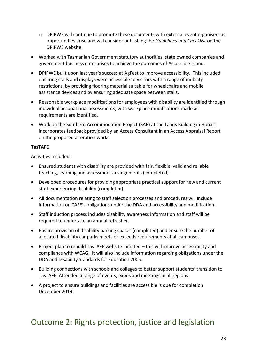- $\circ$  DPIPWE will continue to promote these documents with external event organisers as opportunities arise and will consider publishing the *Guidelines and Checklist* on the DPIPWE website.
- Worked with Tasmanian Government statutory authorities, state owned companies and government business enterprises to achieve the outcomes of Accessible Island.
- DPIPWE built upon last year's success at AgFest to improve accessibility. This included ensuring stalls and displays were accessible to visitors with a range of mobility restrictions, by providing flooring material suitable for wheelchairs and mobile assistance devices and by ensuring adequate space between stalls.
- Reasonable workplace modifications for employees with disability are identified through individual occupational assessments, with workplace modifications made as requirements are identified.
- Work on the Southern Accommodation Project (SAP) at the Lands Building in Hobart incorporates feedback provided by an Access Consultant in an Access Appraisal Report on the proposed alteration works.

#### **TasTAFE**

Activities included:

- Ensured students with disability are provided with fair, flexible, valid and reliable teaching, learning and assessment arrangements (completed).
- Developed procedures for providing appropriate practical support for new and current staff experiencing disability (completed).
- All documentation relating to staff selection processes and procedures will include information on TAFE's obligations under the DDA and accessibility and modification.
- Staff induction process includes disability awareness information and staff will be required to undertake an annual refresher.
- Ensure provision of disability parking spaces (completed) and ensure the number of allocated disability car parks meets or exceeds requirements at all campuses.
- Project plan to rebuild TasTAFE website initiated this will improve accessibility and compliance with WCAG. It will also include information regarding obligations under the DDA and Disability Standards for Education 2005.
- Building connections with schools and colleges to better support students' transition to TasTAFE. Attended a range of events, expos and meetings in all regions.
- A project to ensure buildings and facilities are accessible is due for completion December 2019.

### <span id="page-22-0"></span>Outcome 2: Rights protection, justice and legislation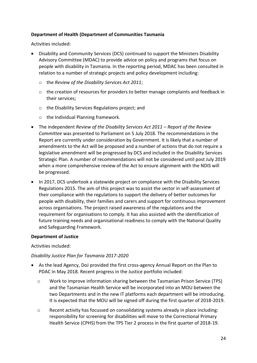#### **Department of Health (Department of Communities Tasmania**

Activities included:

- Disability and Community Services (DCS) continued to support the Ministers Disability Advisory Committee (MDAC) to provide advice on policy and programs that focus on people with disability in Tasmania. In the reporting period, MDAC has been consulted in relation to a number of strategic projects and policy development including:
	- o the *Review of the Disability Services Act 2011*;
	- $\circ$  the creation of resources for providers to better manage complaints and feedback in their services;
	- o the Disability Services Regulations project; and
	- o the Individual Planning framework.
- The independent *Review of the Disability Services Act 2011 – Report of the Review Committee* was presented to Parliament on 5 July 2018. The recommendations in the Report are currently under consideration by Government. It is likely that a number of amendments to the Act will be proposed and a number of actions that do not require a legislative amendment will be progressed by DCS and included in the Disability Services Strategic Plan. A number of recommendations will not be considered until post July 2019 when a more comprehensive review of the Act to ensure alignment with the NDIS will be progressed.
- In 2017, DCS undertook a statewide project on compliance with the Disability Services Regulations 2015. The aim of this project was to assist the sector in self-assessment of their compliance with the regulations to support the delivery of better outcomes for people with disability, their families and carers and support for continuous improvement across organisations. The project raised awareness of the regulations and the requirement for organisations to comply. It has also assisted with the identification of future training needs and organisational readiness to comply with the National Quality and Safeguarding Framework.

#### **Department of Justice**

Activities included:

#### *Disability Justice Plan for Tasmania 2017-2020*

- As the lead Agency, DoJ provided the first cross-agency Annual Report on the Plan to PDAC in May 2018. Recent progress in the Justice portfolio included:
	- o Work to improve information sharing between the Tasmanian Prison Service (TPS) and the Tasmanian Health Service will be incorporated into an MOU between the two Departments and in the new IT platforms each department will be introducing. It is expected that the MOU will be signed off during the first quarter of 2018-2019.
	- o Recent activity has focussed on consolidating systems already in place including: responsibility for screening for disabilities will move to the Correctional Primary Health Service (CPHS) from the TPS Tier 2 process in the first quarter of 2018-19.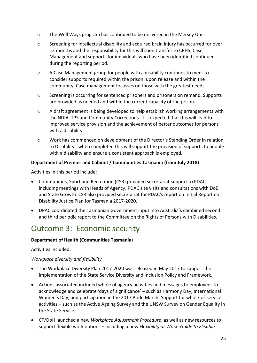- o The Well Ways program has continued to be delivered in the Mersey Unit.
- o Screening for intellectual disability and acquired brain injury has occurred for over 12 months and the responsibility for this will soon transfer to CPHS. Case Management and supports for individuals who have been identified continued during the reporting period.
- o A Case Management group for people with a disability continues to meet to consider supports required within the prison, upon release and within the community. Case management focusses on those with the greatest needs.
- $\circ$  Screening is occurring for sentenced prisoners and prisoners on remand. Supports are provided as needed and within the current capacity of the prison.
- $\circ$  A draft agreement is being developed to help establish working arrangements with the NDIA, TPS and Community Corrections. It is expected that this will lead to improved service provision and the achievement of better outcomes for persons with a disability.
- o Work has commenced on development of the Director's Standing Order in relation to Disability - when completed this will support the provision of supports to people with a disability and ensure a consistent approach is employed.

#### **Department of Premier and Cabinet / Communities Tasmania (from July 2018)**

Activities in this period include:

- Communities, Sport and Recreation (CSR) provided secretariat support to PDAC including meetings with Heads of Agency, PDAC site visits and consultations with DoE and State Growth CSR also provided secretariat for PDAC's report on Initial Report on Disability Justice Plan for Tasmania 2017-2020.
- DPAC coordinated the Tasmanian Government input into Australia's combined second and third periodic report to the Committee on the Rights of Persons with Disabilities.

### <span id="page-24-0"></span>Outcome 3: Economic security

#### **Department of Health (Communities Tasmania**)

Activities included:

#### *Workplace diversity and flexibility*

- The Workplace Diversity Plan 2017-2020 was released in May 2017 to support the implementation of the State Service Diversity and Inclusion Policy and Framework.
- Actions associated included whole of agency activities and messages to employees to acknowledge and celebrate 'days of significance' – such as Harmony Day, International Women's Day, and participation in the 2017 Pride March. Support for whole-of-service activities – such as the Active Ageing Survey and the UNSW Survey on Gender Equality in the State Service.
- CT/DoH launched a new *Workplace Adjustment Procedure*, as well as new resources to support flexible work options – including a new Flex*ibility at Work: Guide to Flexible*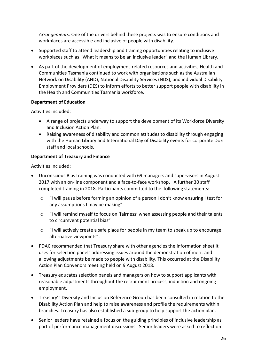*Arrangements*. One of the drivers behind these projects was to ensure conditions and workplaces are accessible and inclusive of people with disability.

- Supported staff to attend leadership and training opportunities relating to inclusive workplaces such as "What it means to be an inclusive leader" and the Human Library.
- As part of the development of employment-related resources and activities, Health and Communities Tasmania continued to work with organisations such as the Australian Network on Disability (AND), National Disability Services (NDS), and individual Disability Employment Providers (DES) to inform efforts to better support people with disability in the Health and Communities Tasmania workforce.

#### **Department of Education**

Activities included:

- A range of projects underway to support the development of its Workforce Diversity and Inclusion Action Plan.
- Raising awareness of disability and common attitudes to disability through engaging with the Human Library and International Day of Disability events for corporate DoE staff and local schools.

#### **Department of Treasury and Finance**

- Unconscious Bias training was conducted with 69 managers and supervisors in August 2017 with an on-line component and a face-to-face workshop. A further 30 staff completed training in 2018. Participants committed to the following statements:
	- o "I will pause before forming an opinion of a person I don't know ensuring I test for any assumptions I may be making"
	- o "I will remind myself to focus on 'fairness' when assessing people and their talents to circumvent potential bias"
	- o "I will actively create a safe place for people in my team to speak up to encourage alternative viewpoints".
- PDAC recommended that Treasury share with other agencies the information sheet it uses for selection panels addressing issues around the demonstration of merit and allowing adjustments be made to people with disability. This occurred at the Disability Action Plan Convenors meeting held on 9 August 2018.
- Treasury educates selection panels and managers on how to support applicants with reasonable adjustments throughout the recruitment process, induction and ongoing employment.
- Treasury's Diversity and Inclusion Reference Group has been consulted in relation to the Disability Action Plan and help to raise awareness and profile the requirements within branches. Treasury has also established a sub-group to help support the action plan.
- Senior leaders have retained a focus on the guiding principles of inclusive leadership as part of performance management discussions. Senior leaders were asked to reflect on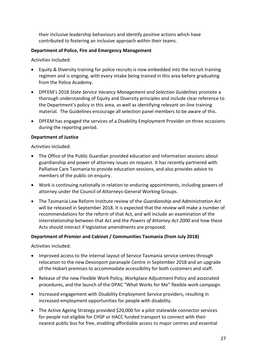their inclusive leadership behaviours and identify positive actions which have contributed to fostering an inclusive approach within their teams.

#### **Department of Police, Fire and Emergency Management**

Activities included:

- Equity & Diversity training for police recruits is now embedded into the recruit training regimen and is ongoing, with every intake being trained in this area before graduating from the Police Academy.
- DPFEM's 2018 *State Service Vacancy Management and Selection Guidelines* promote a thorough understanding of Equity and Diversity principles and include clear reference to the Department's policy in this area, as well as identifying relevant on-line training material. The Guidelines encourage all selection panel members to be aware of this.
- DPFEM has engaged the services of a Disability Employment Provider on three occasions during the reporting period.

#### **Department of Justice**

Activities included:

- The Office of the Public Guardian provided education and information sessions about guardianship and power of attorney issues on request. It has recently partnered with Palliative Care Tasmania to provide education sessions, and also provides advice to members of the public on enquiry.
- Work is continuing nationally in relation to enduring appointments, including powers of attorney under the Council of Attorneys-General Working Groups.
- The Tasmania Law Reform Institute review of the *Guardianship and Administration Act* will be released in September 2018. It is expected that the review will make a number of recommendations for the reform of that Act, and will include an examination of the interrelationship between that Act and the *Powers of Attorney Act 2000* and how these Acts should interact if legislative amendments are proposed.

#### **Department of Premier and Cabinet / Communities Tasmania (from July 2018)**

- Improved access to the internal layout of Service Tasmania service centres through relocation to the new Devonport paranaple Centre in September 2018 and an upgrade of the Hobart premises to accommodate accessibility for both customers and staff.
- Release of the new Flexible Work Policy, Workplace Adjustment Policy and associated procedures, and the launch of the DPAC "What Works for Me" flexible work campaign.
- Increased engagement with Disability Employment Service providers, resulting in increased employment opportunities for people with disability.
- The Active Ageing Strategy provided \$20,000 for a pilot statewide connector services for people not eligible for CHSP or HACC funded transport to connect with their nearest public bus for free, enabling affordable access to major centres and essential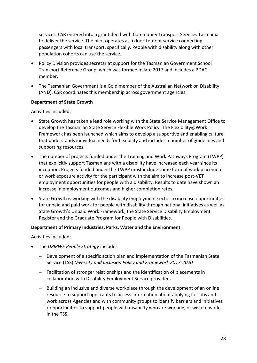services. CSR entered into a grant deed with Community Transport Services Tasmania to deliver the service. The pilot operates as a door-to-door service connecting passengers with local transport, specifically. People with disability along with other population cohorts can use the service.

- Policy Division provides secretariat support for the Tasmanian Government School Transport Reference Group, which was formed in late 2017 and includes a PDAC member.
- The Tasmanian Government is a Gold member of the Australian Network on Disability (AND). CSR coordinates this membership across government agencies.

#### **Department of State Growth**

Activities included:

- State Growth has taken a lead role working with the State Service Management Office to develop the Tasmanian State Service Flexible Work Policy. The Flexibility@Work Framework has been launched which aims to develop a supportive and enabling culture that understands individual needs for flexibility and includes a number of guidelines and supporting resources.
- The number of projects funded under the Training and Work Pathways Program (TWPP) that explicitly support Tasmanians with a disability have increased each year since its inception. Projects funded under the TWPP must include some form of work placement or work exposure activity for the participant with the aim to increase post-VET employment opportunities for people with a disability. Results to date have shown an increase in employment outcomes and higher completion rates.
- State Growth is working with the disability employment sector to increase opportunities for unpaid and paid work for people with disability through national initiatives as well as State Growth's Unpaid Work Framework, the State Service Disability Employment Register and the Graduate Program for People with Disabilities.

#### **Department of Primary Industries, Parks, Water and the Environment**

- The *DPIPWE People Strategy* includes
	- − Development of a specific action plan and implementation of the Tasmanian State Service (TSS) *Diversity and Inclusion Policy and Framework 2017-2020*
	- − Facilitation of stronger relationships and the identification of placements in collaboration with Disability Employment Service providers
	- − Building an inclusive and diverse workplace through the development of an online resource to support applicants to access information about applying for jobs and work across Agencies and with community groups to identify barriers and initiatives / opportunities to support people with disability who are working, or wish to work, in the TSS.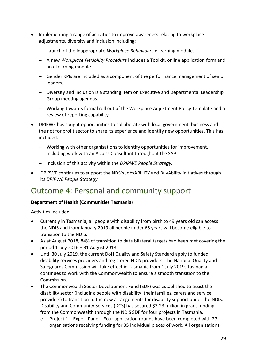- Implementing a range of activities to improve awareness relating to workplace adjustments, diversity and inclusion including:
	- − Launch of the Inappropriate *Workplace Behaviours* eLearning module.
	- − A new *Workplace Flexibility Procedure* includes a Toolkit, online application form and an eLearning module.
	- − Gender KPIs are included as a component of the performance management of senior leaders.
	- − Diversity and Inclusion is a standing item on Executive and Departmental Leadership Group meeting agendas.
	- − Working towards formal roll out of the Workplace Adjustment Policy Template and a review of reporting capability.
- DPIPWE has sought opportunities to collaborate with local government, business and the not for profit sector to share its experience and identify new opportunities. This has included:
	- − Working with other organisations to identify opportunities for improvement, including work with an Access Consultant throughout the SAP.
	- − Inclusion of this activity within the *DPIPWE People Strategy.*
- DPIPWE continues to support the NDS's JobsABILITY and BuyAbility initiatives through its *DPIPWE People Strategy.*

## <span id="page-28-0"></span>Outcome 4: Personal and community support

#### **Department of Health (Communities Tasmania)**

- Currently in Tasmania, all people with disability from birth to 49 years old can access the NDIS and from January 2019 all people under 65 years will become eligible to transition to the NDIS.
- As at August 2018, 84% of transition to date bilateral targets had been met covering the period 1 July 2016 – 31 August 2018.
- Until 30 July 2019, the current DoH Quality and Safety Standard apply to funded disability services providers and registered NDIS providers. The National Quality and Safeguards Commission will take effect in Tasmania from 1 July 2019. Tasmania continues to work with the Commonwealth to ensure a smooth transition to the Commission.
- The Commonwealth Sector Development Fund (SDF) was established to assist the disability sector (including people with disability, their families, carers and service providers) to transition to the new arrangements for disability support under the NDIS. Disability and Community Services (DCS) has secured \$3.23 million in grant funding from the Commonwealth through the NDIS SDF for four projects in Tasmania.
	- $\circ$  Project 1 Expert Panel Four application rounds have been completed with 27 organisations receiving funding for 35 individual pieces of work. All organisations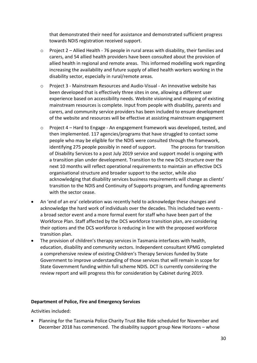that demonstrated their need for assistance and demonstrated sufficient progress towards NDIS registration received support.

- $\circ$  Project 2 Allied Health 76 people in rural areas with disability, their families and carers, and 54 allied health providers have been consulted about the provision of allied health in regional and remote areas. This informed modelling work regarding increasing the availability and future supply of allied health workers working in the disability sector, especially in rural/remote areas.
- o Project 3 Mainstream Resources and Audio-Visual An innovative website has been developed that is effectively three sites in one, allowing a different user experience based on accessibility needs. Website visioning and mapping of existing mainstream resources is complete. Input from people with disability, parents and carers, and community service providers has been included to ensure development of the website and resources will be effective at assisting mainstream engagement
- o Project 4 Hard to Engage An engagement framework was developed, tested, and then implemented. 117 agencies/programs that have struggled to contact some people who may be eligible for the NDIS were consulted through the framework, identifying 275 people possibly in need of support. The process for transition of Disability Services to a post July 2019 service and support model is ongoing with a transition plan under development. Transition to the new DCS structure over the next 10 months will reflect operational requirements to maintain an effective DCS organisational structure and broader support to the sector, while also acknowledging that disability services business requirements will change as clients' transition to the NDIS and Continuity of Supports program, and funding agreements with the sector cease.
- An 'end of an era' celebration was recently held to acknowledge these changes and acknowledge the hard work of individuals over the decades. This included two events a broad sector event and a more formal event for staff who have been part of the Workforce Plan. Staff affected by the DCS workforce transition plan, are considering their options and the DCS workforce is reducing in line with the proposed workforce transition plan.
- The provision of children's therapy services in Tasmania interfaces with health, education, disability and community sectors. Independent consultant KPMG completed a comprehensive review of existing Children's Therapy Services funded by State Government to improve understanding of those services that will remain in scope for State Government funding within full scheme NDIS. DCT is currently considering the review report and will progress this for consideration by Cabinet during 2019.

#### **Department of Police, Fire and Emergency Services**

Activities included:

• Planning for the Tasmania Police Charity Trust Bike Ride scheduled for November and December 2018 has commenced. The disability support group New Horizons – whose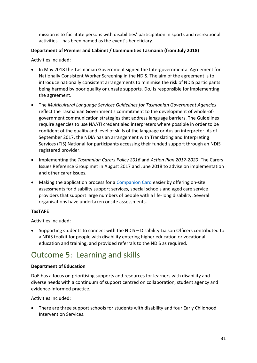mission is to facilitate persons with disabilities' participation in sports and recreational activities – has been named as the event's beneficiary.

#### **Department of Premier and Cabinet / Communities Tasmania (from July 2018)**

Activities included:

- In May 2018 the Tasmanian Government signed the Intergovernmental Agreement for Nationally Consistent Worker Screening in the NDIS. The aim of the agreement is to introduce nationally consistent arrangements to minimise the risk of NDIS participants being harmed by poor quality or unsafe supports. DoJ is responsible for implementing the agreement.
- The *Multicultural Language Services Guidelines for Tasmanian Government Agencies* reflect the Tasmanian Government's commitment to the development of whole-ofgovernment communication strategies that address language barriers. The Guidelines require agencies to use NAATI credentialed interpreters where possible in order to be confident of the quality and level of skills of the language or Auslan interpreter. As of September 2017, the NDIA has an arrangement with Translating and Interpreting Services (TIS) National for participants accessing their funded support through an NDIS registered provider.
- Implementing the *Tasmanian Carers Policy 2016* and *Action Plan 2017-2020*: The Carers Issues Reference Group met in August 2017 and June 2018 to advise on implementation and other carer issues.
- Making the application process for a [Companion Card](http://companioncard.dpac.tas.gov.au/) easier by offering on-site assessments for disability support services, special schools and aged care service providers that support large numbers of people with a life-long disability. Several organisations have undertaken onsite assessments.

#### **TasTAFE**

Activities included:

• Supporting students to connect with the NDIS – Disability Liaison Officers contributed to a NDIS toolkit for people with disability entering higher education or vocational education and training, and provided referrals to the NDIS as required.

## <span id="page-30-0"></span>Outcome 5: Learning and skills

#### **Department of Education**

DoE has a focus on prioritising supports and resources for learners with disability and diverse needs with a continuum of support centred on collaboration, student agency and evidence-informed practice.

Activities included:

• There are three support schools for students with disability and four Early Childhood Intervention Services.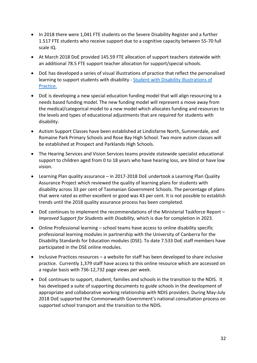- In 2018 there were 1,041 FTE students on the Severe Disability Register and a further 1.517 FTE students who receive support due to a cognitive capacity between 55-70 full scale IQ.
- At March 2018 DoE provided 145.59 FTE allocation of support teachers statewide with an additional 78.5 FTE support teacher allocation for support/special schools.
- DoE has developed a series of visual illustrations of practice that reflect the personalised learning to support students with disability - [Student with Disability Illustrations of](https://www.youtube.com/watch?v=RKw1Ve1mlKM&list=PLWFK6wYaexKjEh5kiv5rs2QzMH_70BQ4X&index=2&t=0s)  [Practice.](https://www.youtube.com/watch?v=RKw1Ve1mlKM&list=PLWFK6wYaexKjEh5kiv5rs2QzMH_70BQ4X&index=2&t=0s)
- DoE is developing a new special education funding model that will align resourcing to a needs based funding model. The new funding model will represent a move away from the medical/categorical model to a new model which allocates funding and resources to the levels and types of educational adjustments that are required for students with disability.
- Autism Support Classes have been established at Lindisfarne North, Summerdale, and Romaine Park Primary Schools and Rose Bay High School. Two more autism classes will be established at Prospect and Parklands High Schools.
- The Hearing Services and Vision Services teams provide statewide specialist educational support to children aged from 0 to 18 years who have hearing loss, are blind or have low vision.
- Learning Plan quality assurance in 2017-2018 DoE undertook a Learning Plan Quality Assurance Project which reviewed the quality of learning plans for students with disability across 33 per cent of Tasmanian Government Schools. The percentage of plans that were rated as either excellent or good was 43 per cent. It is not possible to establish trends until the 2018 quality assurance process has been completed.
- DoE continues to implement the recommendations of the Ministerial Taskforce Report *Improved Support for Students with Disability,* which is due for completion in 2023.
- Online Professional learning school teams have access to online disability specific professional learning modules in partnership with the University of Canberra for the Disability Standards for Education modules (DSE). To date 7.533 DoE staff members have participated in the DSE online modules.
- Inclusive Practices resources a website for staff has been developed to share inclusive practice. Currently 1,379 staff have access to this online resource which are accessed on a regular basis with 736-12,732 page views per week.
- DoE continues to support, student, families and schools in the transition to the NDIS. It has developed a suite of supporting documents to guide schools in the development of appropriate and collaborative working relationship with NDIS providers. During May-July 2018 DoE supported the Commonwealth Government's national consultation process on supported school transport and the transition to the NDIS.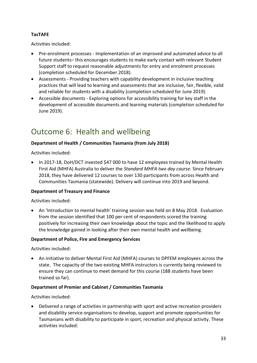#### **TasTAFE**

Activities included:

- Pre-enrolment processes Implementation of an improved and automated advice to all future students– this encourages students to make early contact with relevant Student Support staff to request reasonable adjustments for entry and enrolment processes (completion scheduled for December 2018).
- Assessments Providing teachers with capability development in inclusive teaching practices that will lead to learning and assessments that are inclusive, fair, flexible, valid and reliable for students with a disability (completion scheduled for June 2019).
- Accessible documents Exploring options for accessibility training for key staff in the development of accessible documents and learning materials (completion scheduled for June 2019).

### <span id="page-32-0"></span>Outcome 6: Health and wellbeing

#### **Department of Health / Communities Tasmania (from July 2018)**

Activities included:

• In 2017-18, DoH/DCT invested \$47 000 to have 12 employees trained by Mental Health First Aid (MHFA) Australia to deliver the *Standard MHFA two day course*. Since February 2018, they have delivered 12 courses to over 130 participants from across Health and Communities Tasmania (statewide). Delivery will continue into 2019 and beyond.

#### **Department of Treasury and Finance**

Activities included:

• An 'Introduction to mental health' training session was held on 8 May 2018. Evaluation from the session identified that 100 per cent of respondents scored the training positively for increasing their own knowledge about the topic and the likelihood to apply the knowledge gained in looking after their own mental health and wellbeing.

#### **Department of Police, Fire and Emergency Services**

Activities included:

• An initiative to deliver Mental First Aid (MHFA) courses to DPFEM employees across the state. The capacity of the two existing MHFA instructors is currently being reviewed to ensure they can continue to meet demand for this course (188 students have been trained so far).

#### **Department of Premier and Cabinet / Communities Tasmania**

Activities included:

• Delivered a range of activities in partnership with sport and active recreation providers and disability service organisations to develop, support and promote opportunities for Tasmanians with disability to participate in sport, recreation and physical activity. These activities included: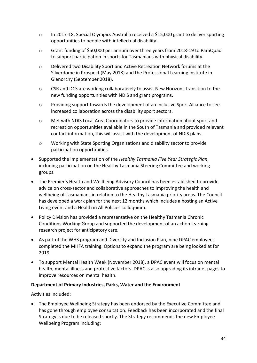- o In 2017-18, Special Olympics Australia received a \$15,000 grant to deliver sporting opportunities to people with intellectual disability.
- o Grant funding of \$50,000 per annum over three years from 2018-19 to ParaQuad to support participation in sports for Tasmanians with physical disability.
- o Delivered two Disability Sport and Active Recreation Network forums at the Silverdome in Prospect (May 2018) and the Professional Learning Institute in Glenorchy (September 2018).
- o CSR and DCS are working collaboratively to assist New Horizons transition to the new funding opportunities with NDIS and grant programs.
- o Providing support towards the development of an Inclusive Sport Alliance to see increased collaboration across the disability sport sectors.
- o Met with NDIS Local Area Coordinators to provide information about sport and recreation opportunities available in the South of Tasmania and provided relevant contact information, this will assist with the development of NDIS plans.
- o Working with State Sporting Organisations and disability sector to provide participation opportunities.
- Supported the implementation of the *Healthy Tasmania Five Year Strategic Plan*, including participation on the Healthy Tasmania Steering Committee and working groups.
- The Premier's Health and Wellbeing Advisory Council has been established to provide advice on cross-sector and collaborative approaches to improving the health and wellbeing of Tasmanians in relation to the Healthy Tasmania priority areas. The Council has developed a work plan for the next 12 months which includes a hosting an Active Living event and a Health in All Policies colloquium.
- Policy Division has provided a representative on the Healthy Tasmania Chronic Conditions Working Group and supported the development of an action learning research project for anticipatory care.
- As part of the WHS program and Diversity and Inclusion Plan, nine DPAC employees completed the MHFA training. Options to expand the program are being looked at for 2019.
- To support Mental Health Week (November 2018), a DPAC event will focus on mental health, mental illness and protective factors. DPAC is also upgrading its intranet pages to improve resources on mental health.

#### **Department of Primary Industries, Parks, Water and the Environment**

Activities included:

• The Employee Wellbeing Strategy has been endorsed by the Executive Committee and has gone through employee consultation. Feedback has been incorporated and the final Strategy is due to be released shortly. The Strategy recommends the new Employee Wellbeing Program including: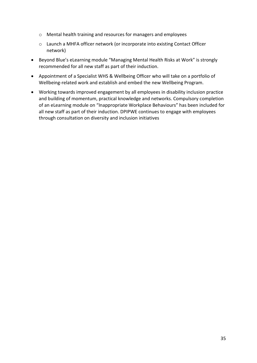- o Mental health training and resources for managers and employees
- o Launch a MHFA officer network (or incorporate into existing Contact Officer network)
- Beyond Blue's eLearning module "Managing Mental Health Risks at Work" is strongly recommended for all new staff as part of their induction.
- Appointment of a Specialist WHS & Wellbeing Officer who will take on a portfolio of Wellbeing-related work and establish and embed the new Wellbeing Program.
- Working towards improved engagement by all employees in disability inclusion practice and building of momentum, practical knowledge and networks. Compulsory completion of an eLearning module on "Inappropriate Workplace Behaviours" has been included for all new staff as part of their induction. DPIPWE continues to engage with employees through consultation on diversity and inclusion initiatives